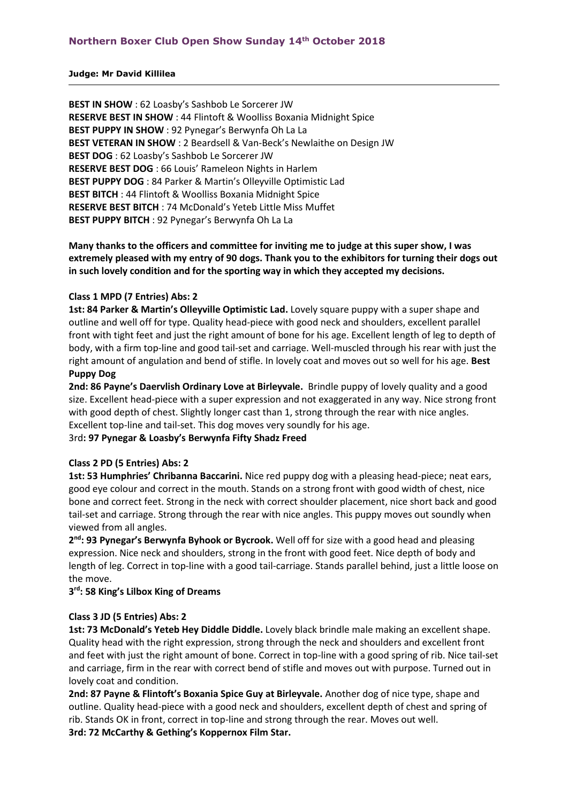#### **Judge: Mr David Killilea**

**BEST IN SHOW** : 62 Loasby's Sashbob Le Sorcerer JW **RESERVE BEST IN SHOW** : 44 Flintoft & Woolliss Boxania Midnight Spice **BEST PUPPY IN SHOW** : 92 Pynegar's Berwynfa Oh La La **BEST VETERAN IN SHOW** : 2 Beardsell & Van-Beck's Newlaithe on Design JW **BEST DOG** : 62 Loasby's Sashbob Le Sorcerer JW **RESERVE BEST DOG** : 66 Louis' Rameleon Nights in Harlem **BEST PUPPY DOG** : 84 Parker & Martin's Olleyville Optimistic Lad **BEST BITCH** : 44 Flintoft & Woolliss Boxania Midnight Spice **RESERVE BEST BITCH** : 74 McDonald's Yeteb Little Miss Muffet **BEST PUPPY BITCH** : 92 Pynegar's Berwynfa Oh La La

### **Many thanks to the officers and committee for inviting me to judge at this super show, I was extremely pleased with my entry of 90 dogs. Thank you to the exhibitors for turning their dogs out in such lovely condition and for the sporting way in which they accepted my decisions.**

#### **Class 1 MPD (7 Entries) Abs: 2**

**1st: 84 Parker & Martin's Olleyville Optimistic Lad.** Lovely square puppy with a super shape and outline and well off for type. Quality head-piece with good neck and shoulders, excellent parallel front with tight feet and just the right amount of bone for his age. Excellent length of leg to depth of body, with a firm top-line and good tail-set and carriage. Well-muscled through his rear with just the right amount of angulation and bend of stifle. In lovely coat and moves out so well for his age. **Best Puppy Dog** 

**2nd: 86 Payne's Daervlish Ordinary Love at Birleyvale.** Brindle puppy of lovely quality and a good size. Excellent head-piece with a super expression and not exaggerated in any way. Nice strong front with good depth of chest. Slightly longer cast than 1, strong through the rear with nice angles. Excellent top-line and tail-set. This dog moves very soundly for his age.

#### 3rd**: 97 Pynegar & Loasby's Berwynfa Fifty Shadz Freed**

#### **Class 2 PD (5 Entries) Abs: 2**

**1st: 53 Humphries' Chribanna Baccarini.** Nice red puppy dog with a pleasing head-piece; neat ears, good eye colour and correct in the mouth. Stands on a strong front with good width of chest, nice bone and correct feet. Strong in the neck with correct shoulder placement, nice short back and good tail-set and carriage. Strong through the rear with nice angles. This puppy moves out soundly when viewed from all angles.

**2 nd: 93 Pynegar's Berwynfa Byhook or Bycrook.** Well off for size with a good head and pleasing expression. Nice neck and shoulders, strong in the front with good feet. Nice depth of body and length of leg. Correct in top-line with a good tail-carriage. Stands parallel behind, just a little loose on the move.

#### **3 rd: 58 King's Lilbox King of Dreams**

#### **Class 3 JD (5 Entries) Abs: 2**

**1st: 73 McDonald's Yeteb Hey Diddle Diddle.** Lovely black brindle male making an excellent shape. Quality head with the right expression, strong through the neck and shoulders and excellent front and feet with just the right amount of bone. Correct in top-line with a good spring of rib. Nice tail-set and carriage, firm in the rear with correct bend of stifle and moves out with purpose. Turned out in lovely coat and condition.

**2nd: 87 Payne & Flintoft's Boxania Spice Guy at Birleyvale.** Another dog of nice type, shape and outline. Quality head-piece with a good neck and shoulders, excellent depth of chest and spring of rib. Stands OK in front, correct in top-line and strong through the rear. Moves out well. **3rd: 72 McCarthy & Gething's Koppernox Film Star.**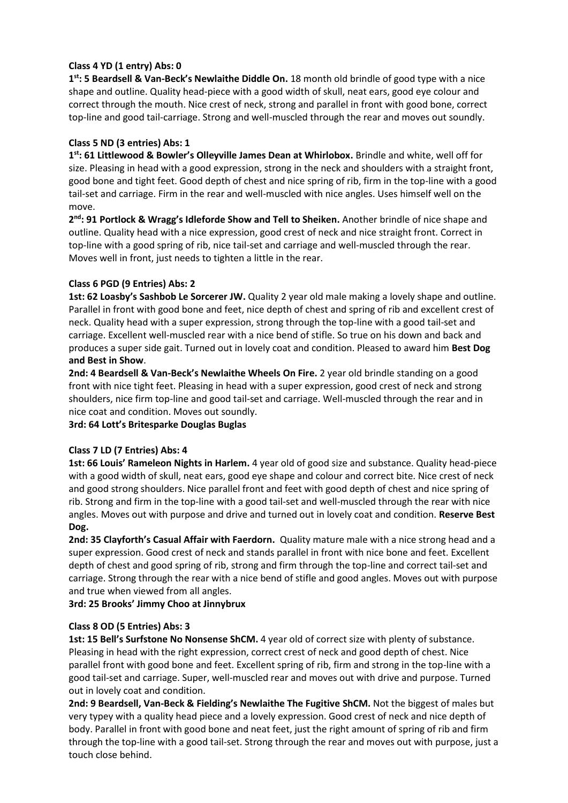# **Class 4 YD (1 entry) Abs: 0**

**1 st: 5 Beardsell & Van-Beck's Newlaithe Diddle On.** 18 month old brindle of good type with a nice shape and outline. Quality head-piece with a good width of skull, neat ears, good eye colour and correct through the mouth. Nice crest of neck, strong and parallel in front with good bone, correct top-line and good tail-carriage. Strong and well-muscled through the rear and moves out soundly.

# **Class 5 ND (3 entries) Abs: 1**

**1 st: 61 Littlewood & Bowler's Olleyville James Dean at Whirlobox.** Brindle and white, well off for size. Pleasing in head with a good expression, strong in the neck and shoulders with a straight front, good bone and tight feet. Good depth of chest and nice spring of rib, firm in the top-line with a good tail-set and carriage. Firm in the rear and well-muscled with nice angles. Uses himself well on the move.

**2 nd: 91 Portlock & Wragg's Idleforde Show and Tell to Sheiken.** Another brindle of nice shape and outline. Quality head with a nice expression, good crest of neck and nice straight front. Correct in top-line with a good spring of rib, nice tail-set and carriage and well-muscled through the rear. Moves well in front, just needs to tighten a little in the rear.

# **Class 6 PGD (9 Entries) Abs: 2**

1st: 62 Loasby's Sashbob Le Sorcerer JW. Quality 2 year old male making a lovely shape and outline. Parallel in front with good bone and feet, nice depth of chest and spring of rib and excellent crest of neck. Quality head with a super expression, strong through the top-line with a good tail-set and carriage. Excellent well-muscled rear with a nice bend of stifle. So true on his down and back and produces a super side gait. Turned out in lovely coat and condition. Pleased to award him **Best Dog and Best in Show**.

**2nd: 4 Beardsell & Van-Beck's Newlaithe Wheels On Fire.** 2 year old brindle standing on a good front with nice tight feet. Pleasing in head with a super expression, good crest of neck and strong shoulders, nice firm top-line and good tail-set and carriage. Well-muscled through the rear and in nice coat and condition. Moves out soundly.

**3rd: 64 Lott's Britesparke Douglas Buglas**

# **Class 7 LD (7 Entries) Abs: 4**

**1st: 66 Louis' Rameleon Nights in Harlem.** 4 year old of good size and substance. Quality head-piece with a good width of skull, neat ears, good eye shape and colour and correct bite. Nice crest of neck and good strong shoulders. Nice parallel front and feet with good depth of chest and nice spring of rib. Strong and firm in the top-line with a good tail-set and well-muscled through the rear with nice angles. Moves out with purpose and drive and turned out in lovely coat and condition. **Reserve Best Dog.**

**2nd: 35 Clayforth's Casual Affair with Faerdorn.** Quality mature male with a nice strong head and a super expression. Good crest of neck and stands parallel in front with nice bone and feet. Excellent depth of chest and good spring of rib, strong and firm through the top-line and correct tail-set and carriage. Strong through the rear with a nice bend of stifle and good angles. Moves out with purpose and true when viewed from all angles.

# **3rd: 25 Brooks' Jimmy Choo at Jinnybrux**

# **Class 8 OD (5 Entries) Abs: 3**

**1st: 15 Bell's Surfstone No Nonsense ShCM.** 4 year old of correct size with plenty of substance. Pleasing in head with the right expression, correct crest of neck and good depth of chest. Nice parallel front with good bone and feet. Excellent spring of rib, firm and strong in the top-line with a good tail-set and carriage. Super, well-muscled rear and moves out with drive and purpose. Turned out in lovely coat and condition.

**2nd: 9 Beardsell, Van-Beck & Fielding's Newlaithe The Fugitive ShCM.** Not the biggest of males but very typey with a quality head piece and a lovely expression. Good crest of neck and nice depth of body. Parallel in front with good bone and neat feet, just the right amount of spring of rib and firm through the top-line with a good tail-set. Strong through the rear and moves out with purpose, just a touch close behind.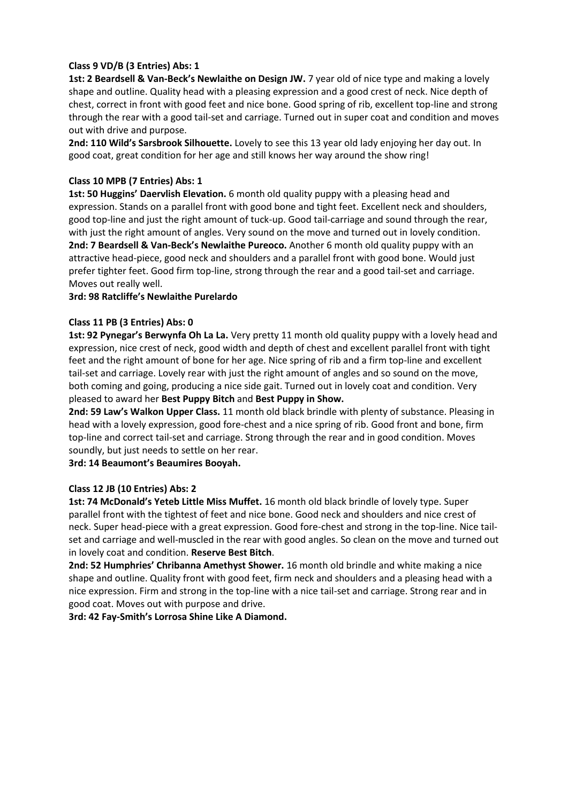# **Class 9 VD/B (3 Entries) Abs: 1**

**1st: 2 Beardsell & Van-Beck's Newlaithe on Design JW.** 7 year old of nice type and making a lovely shape and outline. Quality head with a pleasing expression and a good crest of neck. Nice depth of chest, correct in front with good feet and nice bone. Good spring of rib, excellent top-line and strong through the rear with a good tail-set and carriage. Turned out in super coat and condition and moves out with drive and purpose.

**2nd: 110 Wild's Sarsbrook Silhouette.** Lovely to see this 13 year old lady enjoying her day out. In good coat, great condition for her age and still knows her way around the show ring!

### **Class 10 MPB (7 Entries) Abs: 1**

**1st: 50 Huggins' Daervlish Elevation.** 6 month old quality puppy with a pleasing head and expression. Stands on a parallel front with good bone and tight feet. Excellent neck and shoulders, good top-line and just the right amount of tuck-up. Good tail-carriage and sound through the rear, with just the right amount of angles. Very sound on the move and turned out in lovely condition. **2nd: 7 Beardsell & Van-Beck's Newlaithe Pureoco.** Another 6 month old quality puppy with an attractive head-piece, good neck and shoulders and a parallel front with good bone. Would just prefer tighter feet. Good firm top-line, strong through the rear and a good tail-set and carriage. Moves out really well.

#### **3rd: 98 Ratcliffe's Newlaithe Purelardo**

### **Class 11 PB (3 Entries) Abs: 0**

**1st: 92 Pynegar's Berwynfa Oh La La.** Very pretty 11 month old quality puppy with a lovely head and expression, nice crest of neck, good width and depth of chest and excellent parallel front with tight feet and the right amount of bone for her age. Nice spring of rib and a firm top-line and excellent tail-set and carriage. Lovely rear with just the right amount of angles and so sound on the move, both coming and going, producing a nice side gait. Turned out in lovely coat and condition. Very pleased to award her **Best Puppy Bitch** and **Best Puppy in Show.**

**2nd: 59 Law's Walkon Upper Class.** 11 month old black brindle with plenty of substance. Pleasing in head with a lovely expression, good fore-chest and a nice spring of rib. Good front and bone, firm top-line and correct tail-set and carriage. Strong through the rear and in good condition. Moves soundly, but just needs to settle on her rear.

**3rd: 14 Beaumont's Beaumires Booyah.**

#### **Class 12 JB (10 Entries) Abs: 2**

**1st: 74 McDonald's Yeteb Little Miss Muffet.** 16 month old black brindle of lovely type. Super parallel front with the tightest of feet and nice bone. Good neck and shoulders and nice crest of neck. Super head-piece with a great expression. Good fore-chest and strong in the top-line. Nice tailset and carriage and well-muscled in the rear with good angles. So clean on the move and turned out in lovely coat and condition. **Reserve Best Bitch**.

**2nd: 52 Humphries' Chribanna Amethyst Shower.** 16 month old brindle and white making a nice shape and outline. Quality front with good feet, firm neck and shoulders and a pleasing head with a nice expression. Firm and strong in the top-line with a nice tail-set and carriage. Strong rear and in good coat. Moves out with purpose and drive.

**3rd: 42 Fay-Smith's Lorrosa Shine Like A Diamond.**